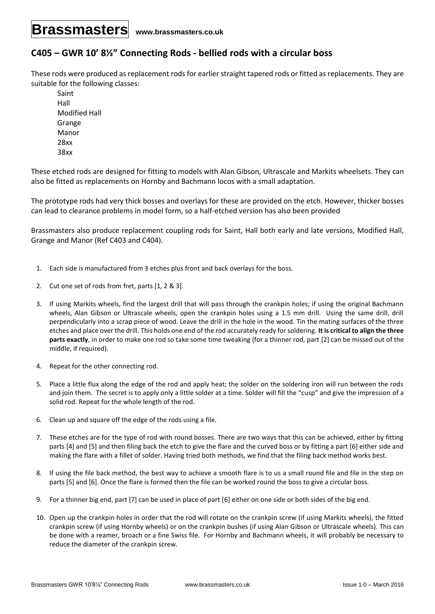## **Brassmasters www.brassmasters.co.uk**

## **C405 – GWR 10' 8½" Connecting Rods - bellied rods with a circular boss**

These rods were produced as replacement rods for earlier straight tapered rods or fitted as replacements. They are suitable for the following classes:

Saint Hall Modified Hall Grange Manor 28xx 38xx

These etched rods are designed for fitting to models with Alan Gibson, Ultrascale and Markits wheelsets. They can also be fitted as replacements on Hornby and Bachmann locos with a small adaptation.

The prototype rods had very thick bosses and overlays for these are provided on the etch. However, thicker bosses can lead to clearance problems in model form, so a half-etched version has also been provided

Brassmasters also produce replacement coupling rods for Saint, Hall both early and late versions, Modified Hall, Grange and Manor (Ref C403 and C404).

- 1. Each side is manufactured from 3 etches plus front and back overlays for the boss.
- 2. Cut one set of rods from fret, parts [1, 2 & 3].
- 3. If using Markits wheels, find the largest drill that will pass through the crankpin holes; if using the original Bachmann wheels, Alan Gibson or Ultrascale wheels, open the crankpin holes using a 1.5 mm drill. Using the same drill, drill perpendicularly into a scrap piece of wood. Leave the drill in the hole in the wood. Tin the mating surfaces of the three etches and place over the drill. This holds one end of the rod accurately ready for soldering. **It is critical to align the three parts exactly**, in order to make one rod so take some time tweaking (for a thinner rod, part [2] can be missed out of the middle, if required).
- 4. Repeat for the other connecting rod.
- 5. Place a little flux along the edge of the rod and apply heat; the solder on the soldering iron will run between the rods and join them. The secret is to apply only a little solder at a time. Solder will fill the "cusp" and give the impression of a solid rod. Repeat for the whole length of the rod.
- 6. Clean up and square off the edge of the rods using a file.
- 7. These etches are for the type of rod with round bosses. There are two ways that this can be achieved, either by fitting parts [4] and [5] and then filing back the etch to give the flare and the curved boss or by fitting a part [6] either side and making the flare with a fillet of solder. Having tried both methods, we find that the filing back method works best.
- 8. If using the file back method, the best way to achieve a smooth flare is to us a small round file and file in the step on parts [5] and [6]. Once the flare is formed then the file can be worked round the boss to give a circular boss.
- 9. For a thinner big end, part [7] can be used in place of part [6] either on one side or both sides of the big end.
- 10. Open up the crankpin holes in order that the rod will rotate on the crankpin screw (if using Markits wheels), the fitted crankpin screw (if using Hornby wheels) or on the crankpin bushes (if using Alan Gibson or Ultrascale wheels). This can be done with a reamer, broach or a fine Swiss file. For Hornby and Bachmann wheels, it will probably be necessary to reduce the diameter of the crankpin screw.